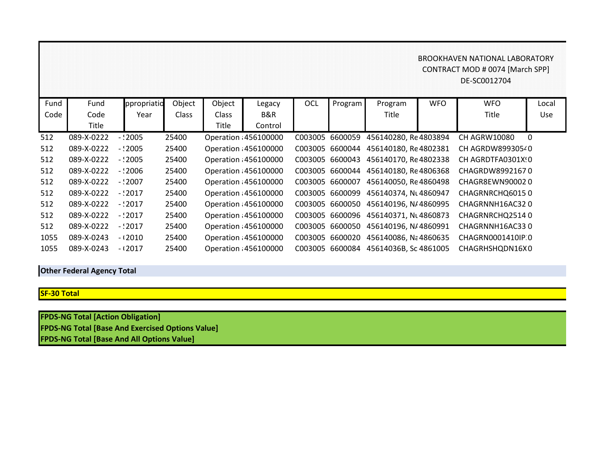## BROOKHAVEN NATIONAL LABORATORY CONTRACT MOD # 0074 [March SPP] DE-SC0012704

| Fund | Fund       | ppropriatio | Object       | Object       | Legacy                | <b>OCL</b> | Program <sup>1</sup> | Program                              | <b>WFO</b> | <b>WFO</b>        | Local    |
|------|------------|-------------|--------------|--------------|-----------------------|------------|----------------------|--------------------------------------|------------|-------------------|----------|
| Code | Code       | Year        | <b>Class</b> | <b>Class</b> | B&R                   |            |                      | Title                                |            | <b>Title</b>      | Use      |
|      | Title      |             |              | Title        | Control               |            |                      |                                      |            |                   |          |
| 512  | 089-X-0222 | $-2005$     | 25400        |              | Operation 456100000   | C003005    | 6600059              | 456140280, Re4803894                 |            | CH AGRW10080      | $\Omega$ |
| 512  | 089-X-0222 | $-2005$     | 25400        |              | Operation 456100000   | C003005    | 6600044              | 456140180, Re4802381                 |            | CH AGRDW89930540  |          |
| 512  | 089-X-0222 | $-2005$     | 25400        |              | Operation 456100000   | C003005    | 6600043              | 456140170. Re4802338                 |            | CH AGRDTFA0301X!0 |          |
| 512  | 089-X-0222 | $-2006$     | 25400        |              | Operation 456100000   |            |                      | C003005 6600044 456140180, Re4806368 |            | CHAGRDW89921670   |          |
| 512  | 089-X-0222 | $-2007$     | 25400        |              | Operation 456100000   | C003005    | 6600007              | 456140050, Re4860498                 |            | CHAGR8EWN900020   |          |
| 512  | 089-X-0222 | $-2017$     | 25400        |              | Operation 456100000   |            | C003005 6600099      | 456140374, Nt 4860947                |            | CHAGRNRCHQ60150   |          |
| 512  | 089-X-0222 | $-2017$     | 25400        |              | Operation 456100000   |            |                      | C003005 6600050 456140196, N/4860995 |            | CHAGRNNH16AC320   |          |
| 512  | 089-X-0222 | $-2017$     | 25400        |              | Operation : 456100000 | C003005    |                      | 6600096 456140371, NL4860873         |            | CHAGRNRCHQ25140   |          |
| 512  | 089-X-0222 | $-2017$     | 25400        |              | Operation 456100000   | C003005    | 6600050              | 456140196, N/4860991                 |            | CHAGRNNH16AC330   |          |
| 1055 | 089-X-0243 | $-12010$    | 25400        |              | Operation 456100000   | C003005    | 6600020              | 456140086, Na 4860635                |            | CHAGRN0001410IP 0 |          |
| 1055 | 089-X-0243 | $-12017$    | 25400        |              | Operation : 456100000 | C003005    |                      | 6600084 45614036B, Sc 4861005        |            | CHAGRHSHQDN16X0   |          |

## **Other Federal Agency Total**

## **SF-30 Total**

**FPDS-NG Total [Action Obligation] FPDS-NG Total [Base And Exercised Options Value] FPDS-NG Total [Base And All Options Value]**